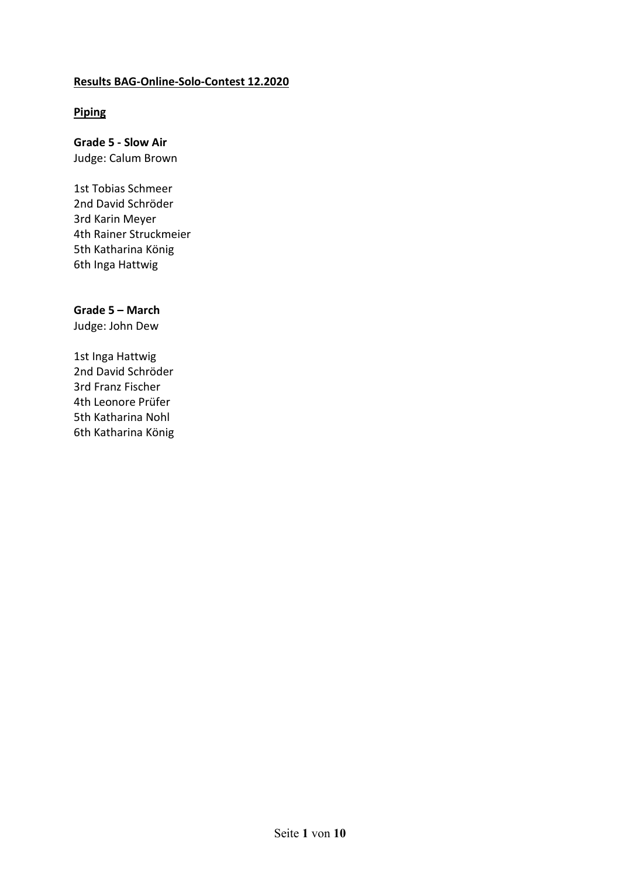#### **Results BAG-Online-Solo-Contest 12.2020**

# **Piping**

#### **Grade 5 - Slow Air**  Judge: Calum Brown

1st Tobias Schmeer 2nd David Schröder 3rd Karin Meyer 4th Rainer Struckmeier 5th Katharina König 6th Inga Hattwig

# **Grade 5 – March**

Judge: John Dew

1st Inga Hattwig 2nd David Schröder 3rd Franz Fischer 4th Leonore Prüfer 5th Katharina Nohl 6th Katharina König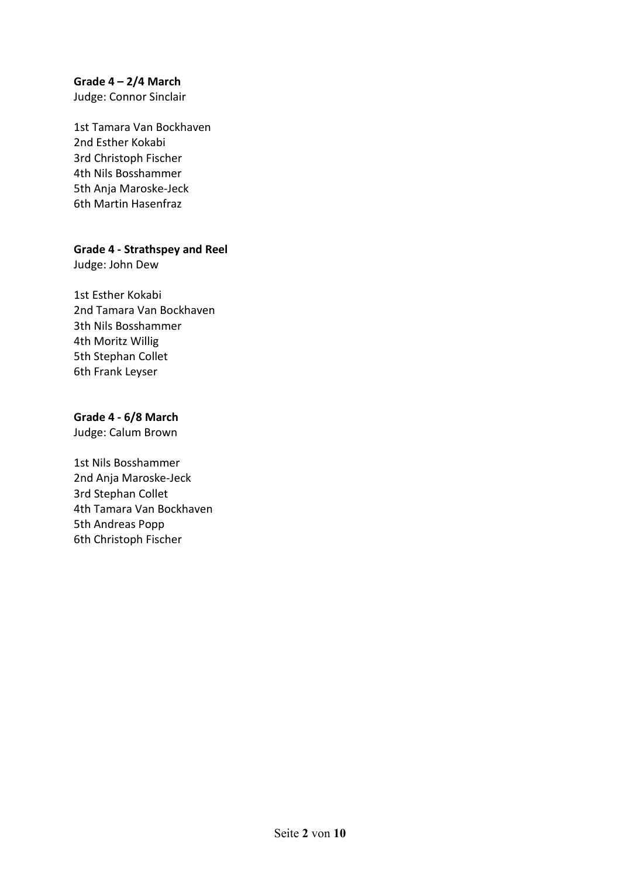# **Grade 4 – 2/4 March**

Judge: Connor Sinclair

1st Tamara Van Bockhaven 2nd Esther Kokabi 3rd Christoph Fischer 4th Nils Bosshammer 5th Anja Maroske-Jeck 6th Martin Hasenfraz

## **Grade 4 - Strathspey and Reel**

Judge: John Dew

1st Esther Kokabi 2nd Tamara Van Bockhaven 3th Nils Bosshammer 4th Moritz Willig 5th Stephan Collet 6th Frank Leyser

#### **Grade 4 - 6/8 March**

Judge: Calum Brown

1st Nils Bosshammer 2nd Anja Maroske-Jeck 3rd Stephan Collet 4th Tamara Van Bockhaven 5th Andreas Popp 6th Christoph Fischer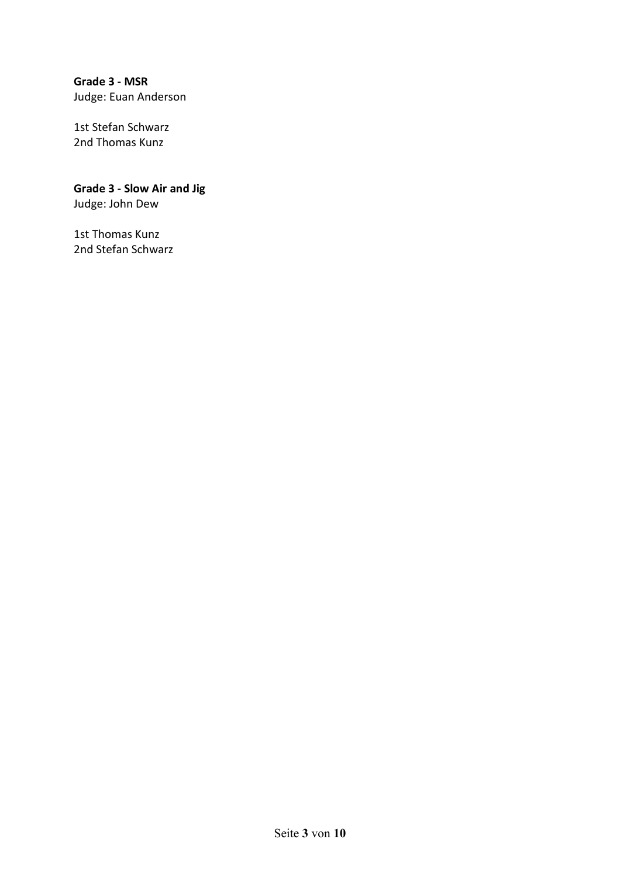# **Grade 3 - MSR**  Judge: Euan Anderson

1st Stefan Schwarz 2nd Thomas Kunz

# **Grade 3 - Slow Air and Jig**

Judge: John Dew

1st Thomas Kunz 2nd Stefan Schwarz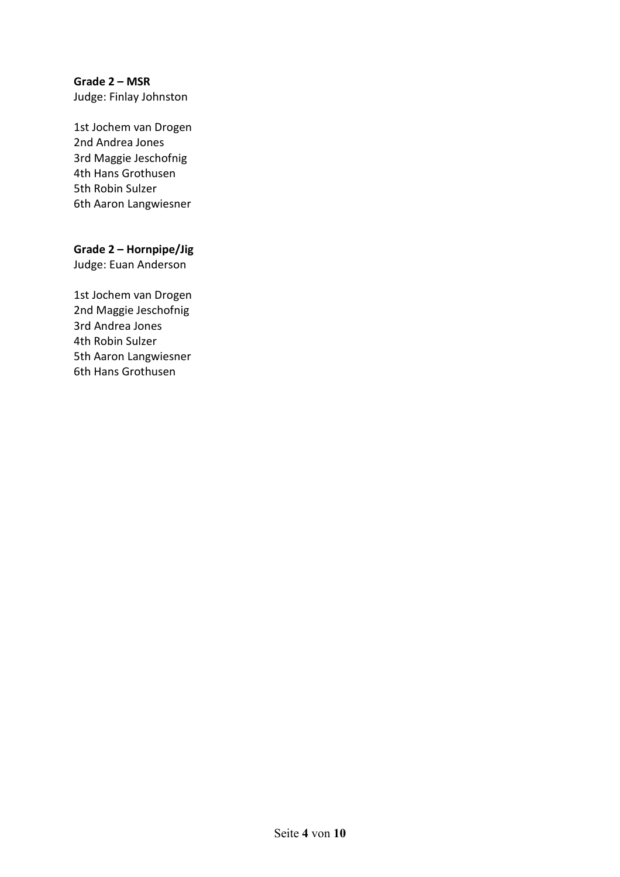# **Grade 2 – MSR**

Judge: Finlay Johnston

1st Jochem van Drogen 2nd Andrea Jones 3rd Maggie Jeschofnig 4th Hans Grothusen 5th Robin Sulzer 6th Aaron Langwiesner

## **Grade 2 – Hornpipe/Jig**

Judge: Euan Anderson

1st Jochem van Drogen 2nd Maggie Jeschofnig 3rd Andrea Jones 4th Robin Sulzer 5th Aaron Langwiesner 6th Hans Grothusen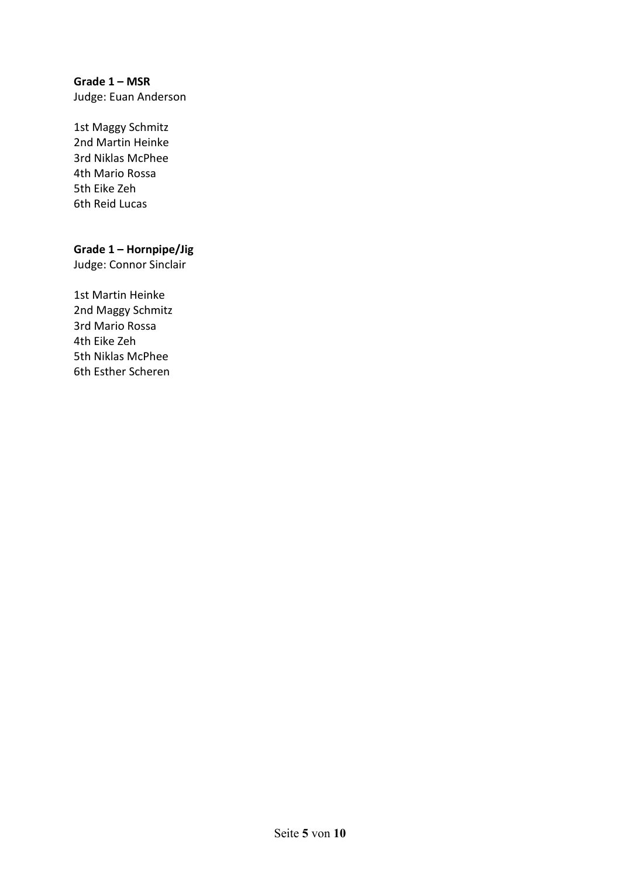# **Grade 1 – MSR**

Judge: Euan Anderson

1st Maggy Schmitz 2nd Martin Heinke 3rd Niklas McPhee 4th Mario Rossa 5th Eike Zeh 6th Reid Lucas

## **Grade 1 – Hornpipe/Jig**

Judge: Connor Sinclair

1st Martin Heinke 2nd Maggy Schmitz 3rd Mario Rossa 4th Eike Zeh 5th Niklas McPhee 6th Esther Scheren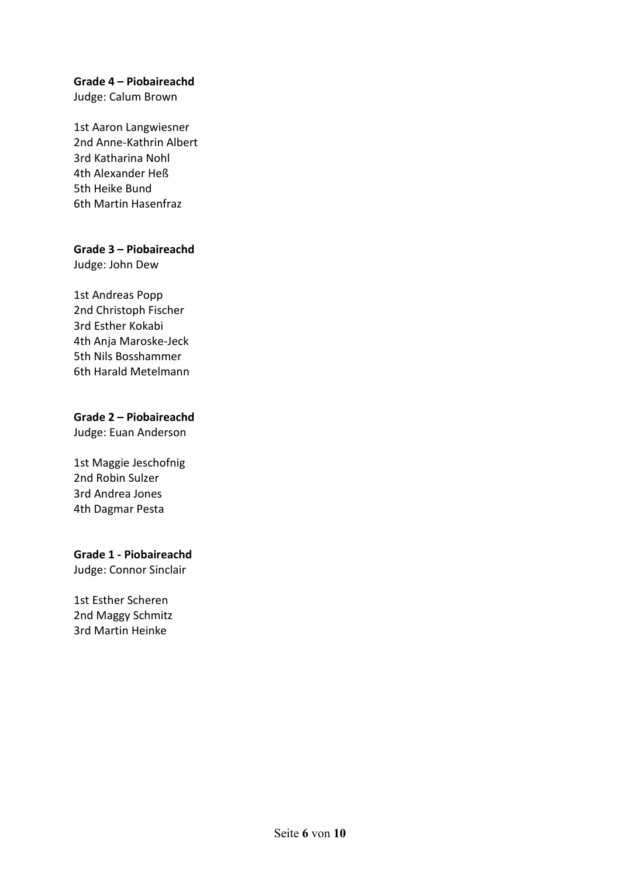#### **Grade 4 – Piobaireachd**

Judge: Calum Brown

1st Aaron Langwiesner 2nd Anne-Kathrin Albert 3rd Katharina Nohl 4th Alexander Heß 5th Heike Bund 6th Martin Hasenfraz

#### **Grade 3 – Piobaireachd**

Judge: John Dew

#### 1st Andreas Popp

2nd Christoph Fischer 3rd Esther Kokabi 4th Anja Maroske-Jeck 5th Nils Bosshammer 6th Harald Metelmann

#### **Grade 2 – Piobaireachd**

Judge: Euan Anderson

1st Maggie Jeschofnig 2nd Robin Sulzer 3rd Andrea Jones 4th Dagmar Pesta

# **Grade 1 - Piobaireachd**

Judge: Connor Sinclair

1st Esther Scheren 2nd Maggy Schmitz 3rd Martin Heinke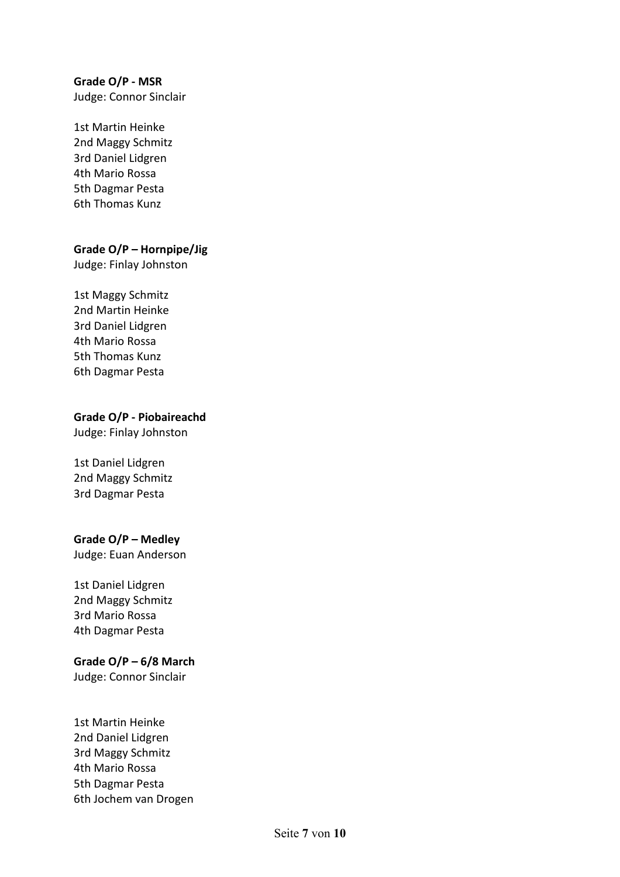# **Grade O/P - MSR**

Judge: Connor Sinclair

1st Martin Heinke 2nd Maggy Schmitz 3rd Daniel Lidgren 4th Mario Rossa 5th Dagmar Pesta 6th Thomas Kunz

#### **Grade O/P – Hornpipe/Jig**

Judge: Finlay Johnston

# 1st Maggy Schmitz

2nd Martin Heinke 3rd Daniel Lidgren 4th Mario Rossa 5th Thomas Kunz 6th Dagmar Pesta

#### **Grade O/P - Piobaireachd**

Judge: Finlay Johnston

1st Daniel Lidgren 2nd Maggy Schmitz 3rd Dagmar Pesta

#### **Grade O/P – Medley**

Judge: Euan Anderson

1st Daniel Lidgren 2nd Maggy Schmitz 3rd Mario Rossa 4th Dagmar Pesta

#### **Grade O/P – 6/8 March**

Judge: Connor Sinclair

1st Martin Heinke 2nd Daniel Lidgren 3rd Maggy Schmitz 4th Mario Rossa 5th Dagmar Pesta 6th Jochem van Drogen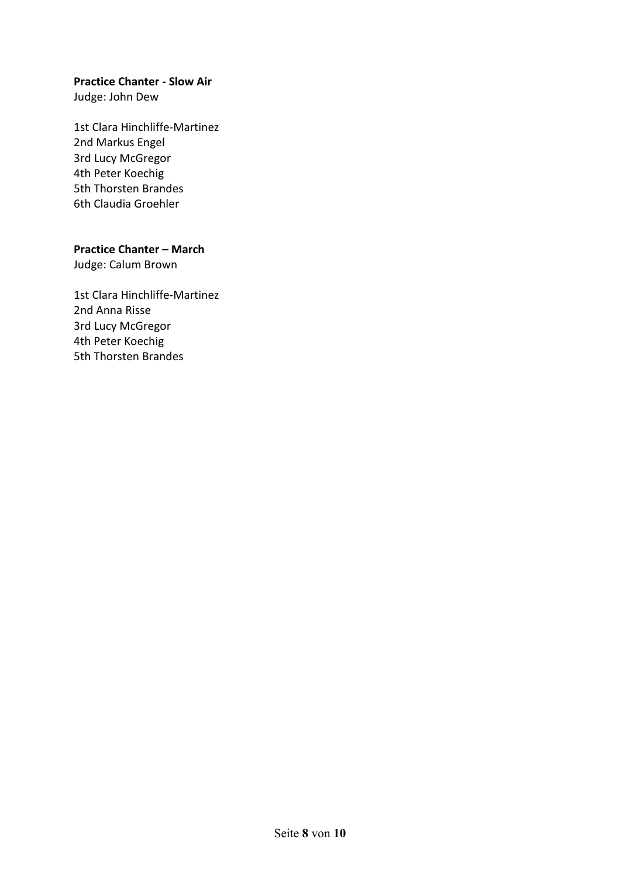#### **Practice Chanter - Slow Air**

Judge: John Dew

1st Clara Hinchliffe-Martinez 2nd Markus Engel 3rd Lucy McGregor 4th Peter Koechig 5th Thorsten Brandes 6th Claudia Groehler

#### **Practice Chanter – March**

Judge: Calum Brown

1st Clara Hinchliffe-Martinez 2nd Anna Risse 3rd Lucy McGregor 4th Peter Koechig 5th Thorsten Brandes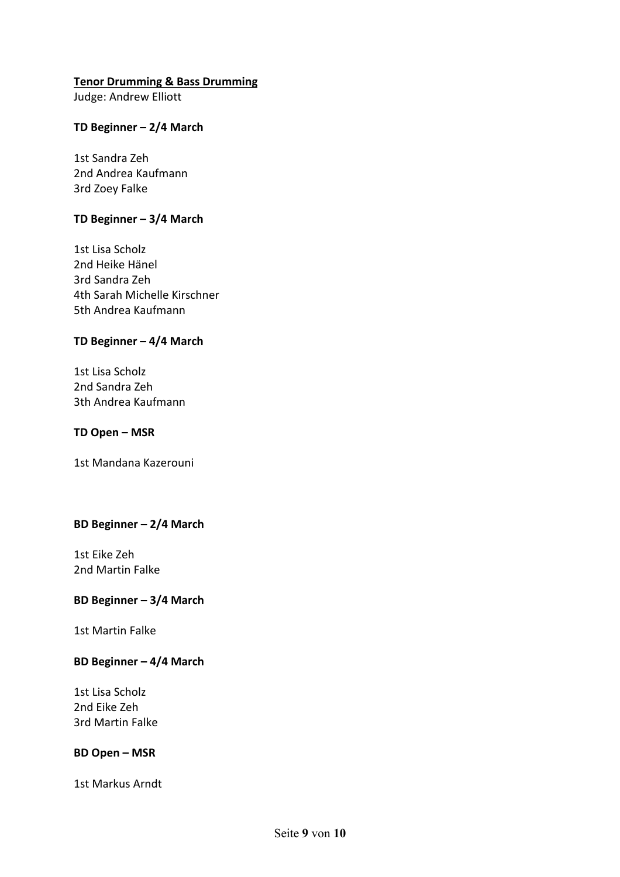#### **Tenor Drumming & Bass Drumming**

Judge: Andrew Elliott

#### **TD Beginner – 2/4 March**

1st Sandra Zeh 2nd Andrea Kaufmann 3rd Zoey Falke

#### **TD Beginner – 3/4 March**

1st Lisa Scholz 2nd Heike Hänel 3rd Sandra Zeh 4th Sarah Michelle Kirschner 5th Andrea Kaufmann

#### **TD Beginner – 4/4 March**

1st Lisa Scholz 2nd Sandra Zeh 3th Andrea Kaufmann

#### **TD Open – MSR**

1st Mandana Kazerouni

# **BD Beginner – 2/4 March**

1st Eike Zeh 2nd Martin Falke

#### **BD Beginner – 3/4 March**

1st Martin Falke

#### **BD Beginner – 4/4 March**

1st Lisa Scholz 2nd Eike Zeh 3rd Martin Falke

#### **BD Open – MSR**

1st Markus Arndt